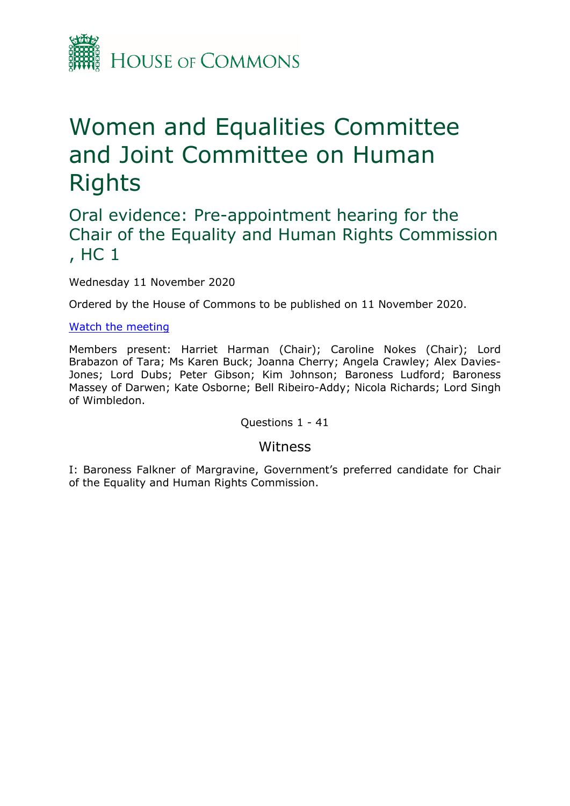

# Women and Equalities Committee and Joint Committee on Human Rights

## Oral evidence: Pre-appointment hearing for the Chair of the Equality and Human Rights Commission , HC 1

Wednesday 11 November 2020

Ordered by the House of Commons to be published on 11 November 2020.

#### [Watch](https://parliamentlive.tv/Event/Index/42d4b194-6dd7-491f-a232-98060a14c9bf) [the](https://parliamentlive.tv/Event/Index/42d4b194-6dd7-491f-a232-98060a14c9bf) [meeting](https://parliamentlive.tv/Event/Index/42d4b194-6dd7-491f-a232-98060a14c9bf)

Members present: Harriet Harman (Chair); Caroline Nokes (Chair); Lord Brabazon of Tara; Ms Karen Buck; Joanna Cherry; Angela Crawley; Alex Davies-Jones; Lord Dubs; Peter Gibson; Kim Johnson; Baroness Ludford; Baroness Massey of Darwen; Kate Osborne; Bell Ribeiro-Addy; Nicola Richards; Lord Singh of Wimbledon.

Questions 1 - 41

#### Witness

I: Baroness Falkner of Margravine, Government's preferred candidate for Chair of the Equality and Human Rights Commission.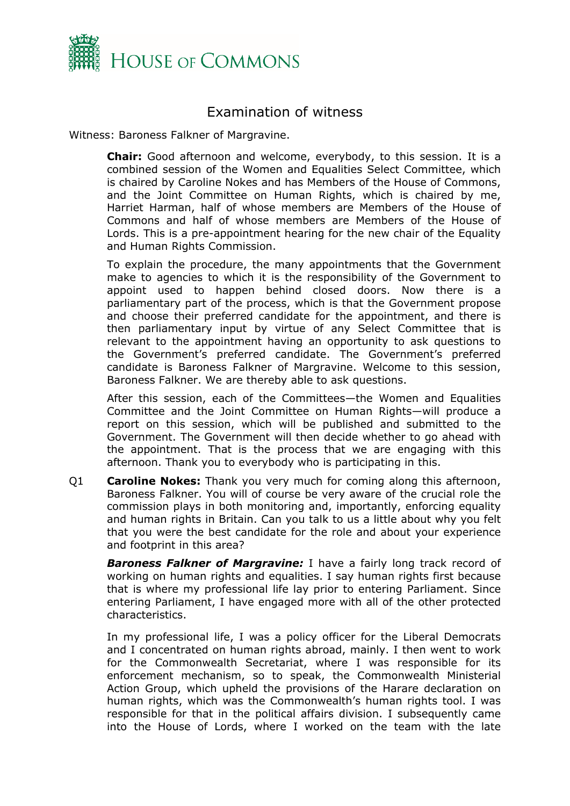

### Examination of witness

Witness: Baroness Falkner of Margravine.

**Chair:** Good afternoon and welcome, everybody, to this session. It is a combined session of the Women and Equalities Select Committee, which is chaired by Caroline Nokes and has Members of the House of Commons, and the Joint Committee on Human Rights, which is chaired by me, Harriet Harman, half of whose members are Members of the House of Commons and half of whose members are Members of the House of Lords. This is a pre-appointment hearing for the new chair of the Equality and Human Rights Commission.

To explain the procedure, the many appointments that the Government make to agencies to which it is the responsibility of the Government to appoint used to happen behind closed doors. Now there is a parliamentary part of the process, which is that the Government propose and choose their preferred candidate for the appointment, and there is then parliamentary input by virtue of any Select Committee that is relevant to the appointment having an opportunity to ask questions to the Government's preferred candidate. The Government's preferred candidate is Baroness Falkner of Margravine. Welcome to this session, Baroness Falkner. We are thereby able to ask questions.

After this session, each of the Committees—the Women and Equalities Committee and the Joint Committee on Human Rights—will produce a report on this session, which will be published and submitted to the Government. The Government will then decide whether to go ahead with the appointment. That is the process that we are engaging with this afternoon. Thank you to everybody who is participating in this.

Q1 **Caroline Nokes:** Thank you very much for coming along this afternoon, Baroness Falkner. You will of course be very aware of the crucial role the commission plays in both monitoring and, importantly, enforcing equality and human rights in Britain. Can you talk to us a little about why you felt that you were the best candidate for the role and about your experience and footprint in this area?

*Baroness Falkner of Margravine:* I have a fairly long track record of working on human rights and equalities. I say human rights first because that is where my professional life lay prior to entering Parliament. Since entering Parliament, I have engaged more with all of the other protected characteristics.

In my professional life, I was a policy officer for the Liberal Democrats and I concentrated on human rights abroad, mainly. I then went to work for the Commonwealth Secretariat, where I was responsible for its enforcement mechanism, so to speak, the Commonwealth Ministerial Action Group, which upheld the provisions of the Harare declaration on human rights, which was the Commonwealth's human rights tool. I was responsible for that in the political affairs division. I subsequently came into the House of Lords, where I worked on the team with the late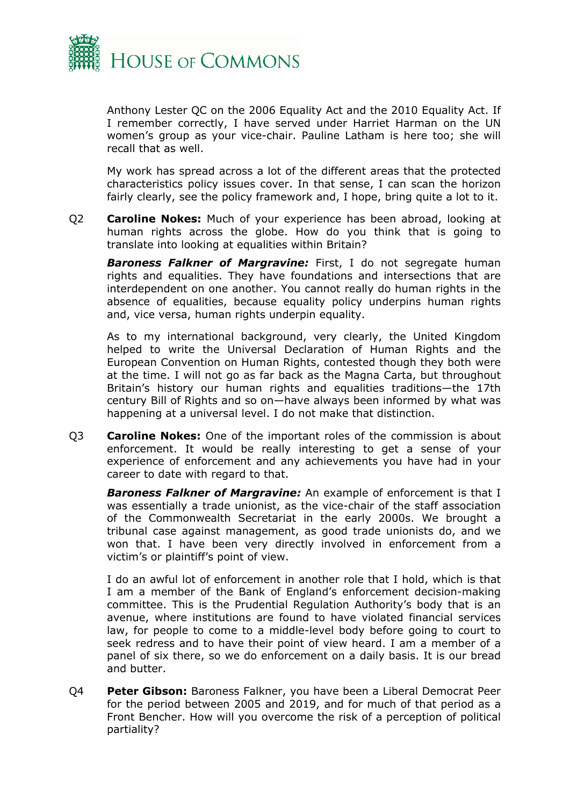

Anthony Lester QC on the 2006 Equality Act and the 2010 Equality Act. If I remember correctly, I have served under Harriet Harman on the UN women's group as your vice-chair. Pauline Latham is here too; she will recall that as well.

My work has spread across a lot of the different areas that the protected characteristics policy issues cover. In that sense, I can scan the horizon fairly clearly, see the policy framework and, I hope, bring quite a lot to it.

Q2 **Caroline Nokes:** Much of your experience has been abroad, looking at human rights across the globe. How do you think that is going to translate into looking at equalities within Britain?

*Baroness Falkner of Margravine:* First, I do not segregate human rights and equalities. They have foundations and intersections that are interdependent on one another. You cannot really do human rights in the absence of equalities, because equality policy underpins human rights and, vice versa, human rights underpin equality.

As to my international background, very clearly, the United Kingdom helped to write the Universal Declaration of Human Rights and the European Convention on Human Rights, contested though they both were at the time. I will not go as far back as the Magna Carta, but throughout Britain's history our human rights and equalities traditions—the 17th century Bill of Rights and so on—have always been informed by what was happening at a universal level. I do not make that distinction.

Q3 **Caroline Nokes:** One of the important roles of the commission is about enforcement. It would be really interesting to get a sense of your experience of enforcement and any achievements you have had in your career to date with regard to that.

*Baroness Falkner of Margravine:* An example of enforcement is that I was essentially a trade unionist, as the vice-chair of the staff association of the Commonwealth Secretariat in the early 2000s. We brought a tribunal case against management, as good trade unionists do, and we won that. I have been very directly involved in enforcement from a victim's or plaintiff's point of view.

I do an awful lot of enforcement in another role that I hold, which is that I am a member of the Bank of England's enforcement decision-making committee. This is the Prudential Regulation Authority's body that is an avenue, where institutions are found to have violated financial services law, for people to come to a middle-level body before going to court to seek redress and to have their point of view heard. I am a member of a panel of six there, so we do enforcement on a daily basis. It is our bread and butter.

Q4 **Peter Gibson:** Baroness Falkner, you have been a Liberal Democrat Peer for the period between 2005 and 2019, and for much of that period as a Front Bencher. How will you overcome the risk of a perception of political partiality?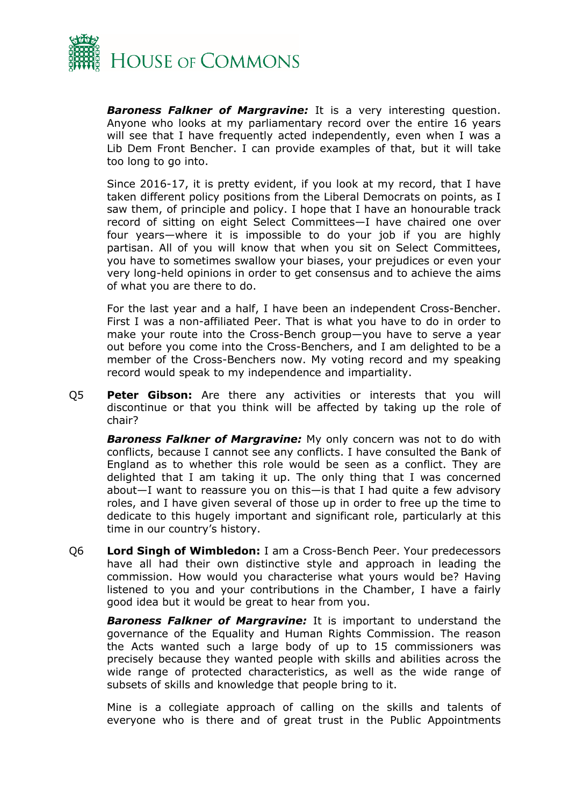

*Baroness Falkner of Margravine:* It is a very interesting question. Anyone who looks at my parliamentary record over the entire 16 years will see that I have frequently acted independently, even when I was a Lib Dem Front Bencher. I can provide examples of that, but it will take too long to go into.

Since 2016-17, it is pretty evident, if you look at my record, that I have taken different policy positions from the Liberal Democrats on points, as I saw them, of principle and policy. I hope that I have an honourable track record of sitting on eight Select Committees—I have chaired one over four years—where it is impossible to do your job if you are highly partisan. All of you will know that when you sit on Select Committees, you have to sometimes swallow your biases, your prejudices or even your very long-held opinions in order to get consensus and to achieve the aims of what you are there to do.

For the last year and a half, I have been an independent Cross-Bencher. First I was a non-affiliated Peer. That is what you have to do in order to make your route into the Cross-Bench group—you have to serve a year out before you come into the Cross-Benchers, and I am delighted to be a member of the Cross-Benchers now. My voting record and my speaking record would speak to my independence and impartiality.

Q5 **Peter Gibson:** Are there any activities or interests that you will discontinue or that you think will be affected by taking up the role of chair?

*Baroness Falkner of Margravine:* My only concern was not to do with conflicts, because I cannot see any conflicts. I have consulted the Bank of England as to whether this role would be seen as a conflict. They are delighted that I am taking it up. The only thing that I was concerned about—I want to reassure you on this—is that I had quite a few advisory roles, and I have given several of those up in order to free up the time to dedicate to this hugely important and significant role, particularly at this time in our country's history.

Q6 **Lord Singh of Wimbledon:** I am a Cross-Bench Peer. Your predecessors have all had their own distinctive style and approach in leading the commission. How would you characterise what yours would be? Having listened to you and your contributions in the Chamber, I have a fairly good idea but it would be great to hear from you.

*Baroness Falkner of Margravine:* It is important to understand the governance of the Equality and Human Rights Commission. The reason the Acts wanted such a large body of up to 15 commissioners was precisely because they wanted people with skills and abilities across the wide range of protected characteristics, as well as the wide range of subsets of skills and knowledge that people bring to it.

Mine is a collegiate approach of calling on the skills and talents of everyone who is there and of great trust in the Public Appointments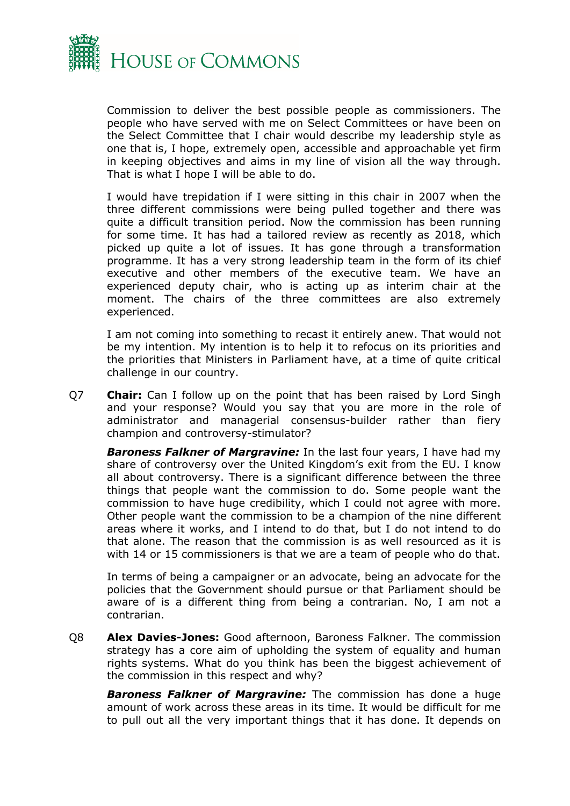

Commission to deliver the best possible people as commissioners. The people who have served with me on Select Committees or have been on the Select Committee that I chair would describe my leadership style as one that is, I hope, extremely open, accessible and approachable yet firm in keeping objectives and aims in my line of vision all the way through. That is what I hope I will be able to do.

I would have trepidation if I were sitting in this chair in 2007 when the three different commissions were being pulled together and there was quite a difficult transition period. Now the commission has been running for some time. It has had a tailored review as recently as 2018, which picked up quite a lot of issues. It has gone through a transformation programme. It has a very strong leadership team in the form of its chief executive and other members of the executive team. We have an experienced deputy chair, who is acting up as interim chair at the moment. The chairs of the three committees are also extremely experienced.

I am not coming into something to recast it entirely anew. That would not be my intention. My intention is to help it to refocus on its priorities and the priorities that Ministers in Parliament have, at a time of quite critical challenge in our country.

Q7 **Chair:** Can I follow up on the point that has been raised by Lord Singh and your response? Would you say that you are more in the role of administrator and managerial consensus-builder rather than fiery champion and controversy-stimulator?

*Baroness Falkner of Margravine:* In the last four years, I have had my share of controversy over the United Kingdom's exit from the EU. I know all about controversy. There is a significant difference between the three things that people want the commission to do. Some people want the commission to have huge credibility, which I could not agree with more. Other people want the commission to be a champion of the nine different areas where it works, and I intend to do that, but I do not intend to do that alone. The reason that the commission is as well resourced as it is with 14 or 15 commissioners is that we are a team of people who do that.

In terms of being a campaigner or an advocate, being an advocate for the policies that the Government should pursue or that Parliament should be aware of is a different thing from being a contrarian. No, I am not a contrarian.

Q8 **Alex Davies-Jones:** Good afternoon, Baroness Falkner. The commission strategy has a core aim of upholding the system of equality and human rights systems. What do you think has been the biggest achievement of the commission in this respect and why?

*Baroness Falkner of Margravine:* The commission has done a huge amount of work across these areas in its time. It would be difficult for me to pull out all the very important things that it has done. It depends on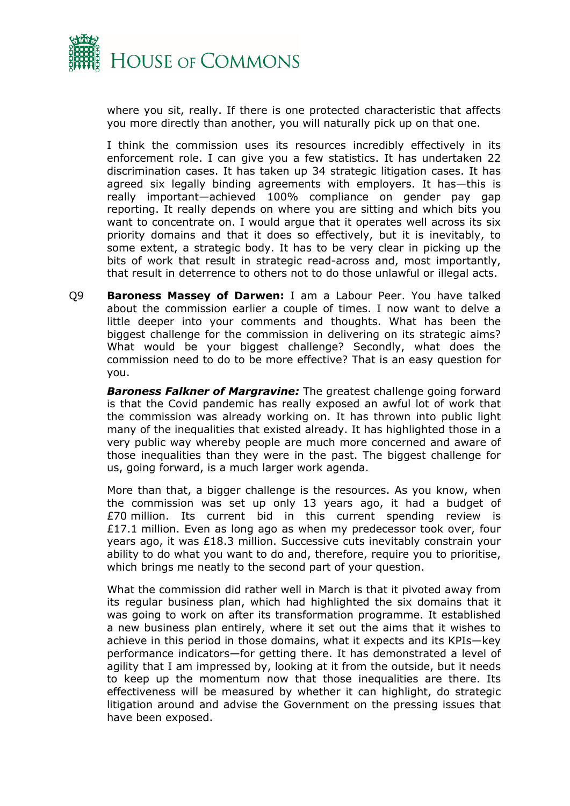

where you sit, really. If there is one protected characteristic that affects you more directly than another, you will naturally pick up on that one.

I think the commission uses its resources incredibly effectively in its enforcement role. I can give you a few statistics. It has undertaken 22 discrimination cases. It has taken up 34 strategic litigation cases. It has agreed six legally binding agreements with employers. It has—this is really important—achieved 100% compliance on gender pay gap reporting. It really depends on where you are sitting and which bits you want to concentrate on. I would argue that it operates well across its six priority domains and that it does so effectively, but it is inevitably, to some extent, a strategic body. It has to be very clear in picking up the bits of work that result in strategic read-across and, most importantly, that result in deterrence to others not to do those unlawful or illegal acts.

Q9 **Baroness Massey of Darwen:** I am a Labour Peer. You have talked about the commission earlier a couple of times. I now want to delve a little deeper into your comments and thoughts. What has been the biggest challenge for the commission in delivering on its strategic aims? What would be your biggest challenge? Secondly, what does the commission need to do to be more effective? That is an easy question for you.

*Baroness Falkner of Margravine:* The greatest challenge going forward is that the Covid pandemic has really exposed an awful lot of work that the commission was already working on. It has thrown into public light many of the inequalities that existed already. It has highlighted those in a very public way whereby people are much more concerned and aware of those inequalities than they were in the past. The biggest challenge for us, going forward, is a much larger work agenda.

More than that, a bigger challenge is the resources. As you know, when the commission was set up only 13 years ago, it had a budget of £70 million. Its current bid in this current spending review is £17.1 million. Even as long ago as when my predecessor took over, four years ago, it was £18.3 million. Successive cuts inevitably constrain your ability to do what you want to do and, therefore, require you to prioritise, which brings me neatly to the second part of your question.

What the commission did rather well in March is that it pivoted away from its regular business plan, which had highlighted the six domains that it was going to work on after its transformation programme. It established a new business plan entirely, where it set out the aims that it wishes to achieve in this period in those domains, what it expects and its KPIs—key performance indicators—for getting there. It has demonstrated a level of agility that I am impressed by, looking at it from the outside, but it needs to keep up the momentum now that those inequalities are there. Its effectiveness will be measured by whether it can highlight, do strategic litigation around and advise the Government on the pressing issues that have been exposed.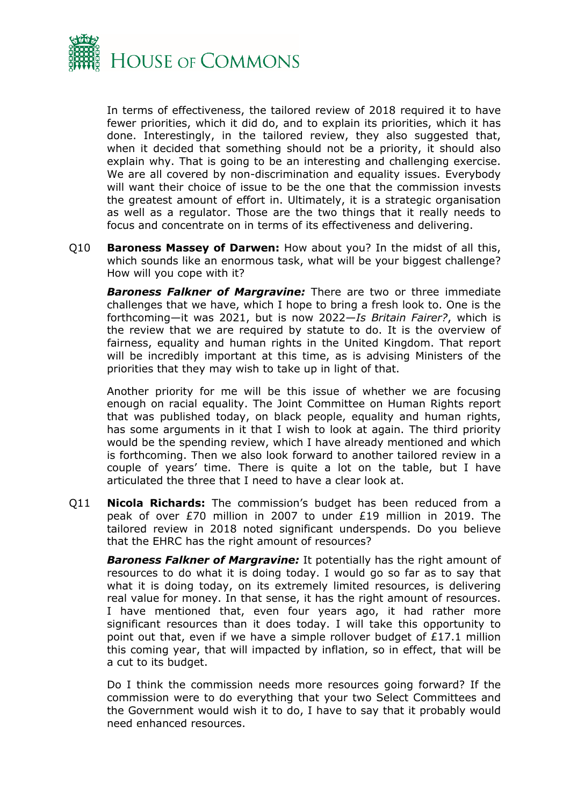

In terms of effectiveness, the tailored review of 2018 required it to have fewer priorities, which it did do, and to explain its priorities, which it has done. Interestingly, in the tailored review, they also suggested that, when it decided that something should not be a priority, it should also explain why. That is going to be an interesting and challenging exercise. We are all covered by non-discrimination and equality issues. Everybody will want their choice of issue to be the one that the commission invests the greatest amount of effort in. Ultimately, it is a strategic organisation as well as a regulator. Those are the two things that it really needs to focus and concentrate on in terms of its effectiveness and delivering.

Q10 **Baroness Massey of Darwen:** How about you? In the midst of all this, which sounds like an enormous task, what will be your biggest challenge? How will you cope with it?

*Baroness Falkner of Margravine:* There are two or three immediate challenges that we have, which I hope to bring a fresh look to. One is the forthcoming—it was 2021, but is now 2022—*Is Britain Fairer?*, which is the review that we are required by statute to do. It is the overview of fairness, equality and human rights in the United Kingdom. That report will be incredibly important at this time, as is advising Ministers of the priorities that they may wish to take up in light of that.

Another priority for me will be this issue of whether we are focusing enough on racial equality. The Joint Committee on Human Rights report that was published today, on black people, equality and human rights, has some arguments in it that I wish to look at again. The third priority would be the spending review, which I have already mentioned and which is forthcoming. Then we also look forward to another tailored review in a couple of years' time. There is quite a lot on the table, but I have articulated the three that I need to have a clear look at.

Q11 **Nicola Richards:** The commission's budget has been reduced from a peak of over £70 million in 2007 to under £19 million in 2019. The tailored review in 2018 noted significant underspends. Do you believe that the EHRC has the right amount of resources?

*Baroness Falkner of Margravine:* It potentially has the right amount of resources to do what it is doing today. I would go so far as to say that what it is doing today, on its extremely limited resources, is delivering real value for money. In that sense, it has the right amount of resources. I have mentioned that, even four years ago, it had rather more significant resources than it does today. I will take this opportunity to point out that, even if we have a simple rollover budget of £17.1 million this coming year, that will impacted by inflation, so in effect, that will be a cut to its budget.

Do I think the commission needs more resources going forward? If the commission were to do everything that your two Select Committees and the Government would wish it to do, I have to say that it probably would need enhanced resources.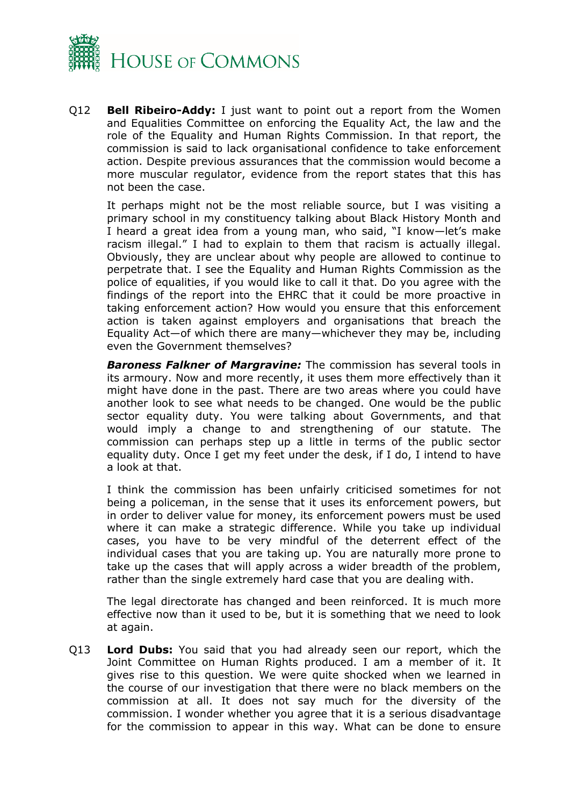

Q12 **Bell Ribeiro-Addy:** I just want to point out a report from the Women and Equalities Committee on enforcing the Equality Act, the law and the role of the Equality and Human Rights Commission. In that report, the commission is said to lack organisational confidence to take enforcement action. Despite previous assurances that the commission would become a more muscular regulator, evidence from the report states that this has not been the case.

It perhaps might not be the most reliable source, but I was visiting a primary school in my constituency talking about Black History Month and I heard a great idea from a young man, who said, "I know—let's make racism illegal." I had to explain to them that racism is actually illegal. Obviously, they are unclear about why people are allowed to continue to perpetrate that. I see the Equality and Human Rights Commission as the police of equalities, if you would like to call it that. Do you agree with the findings of the report into the EHRC that it could be more proactive in taking enforcement action? How would you ensure that this enforcement action is taken against employers and organisations that breach the Equality Act—of which there are many—whichever they may be, including even the Government themselves?

*Baroness Falkner of Margravine:* The commission has several tools in its armoury. Now and more recently, it uses them more effectively than it might have done in the past. There are two areas where you could have another look to see what needs to be changed. One would be the public sector equality duty. You were talking about Governments, and that would imply a change to and strengthening of our statute. The commission can perhaps step up a little in terms of the public sector equality duty. Once I get my feet under the desk, if I do, I intend to have a look at that.

I think the commission has been unfairly criticised sometimes for not being a policeman, in the sense that it uses its enforcement powers, but in order to deliver value for money, its enforcement powers must be used where it can make a strategic difference. While you take up individual cases, you have to be very mindful of the deterrent effect of the individual cases that you are taking up. You are naturally more prone to take up the cases that will apply across a wider breadth of the problem, rather than the single extremely hard case that you are dealing with.

The legal directorate has changed and been reinforced. It is much more effective now than it used to be, but it is something that we need to look at again.

Q13 **Lord Dubs:** You said that you had already seen our report, which the Joint Committee on Human Rights produced. I am a member of it. It gives rise to this question. We were quite shocked when we learned in the course of our investigation that there were no black members on the commission at all. It does not say much for the diversity of the commission. I wonder whether you agree that it is a serious disadvantage for the commission to appear in this way. What can be done to ensure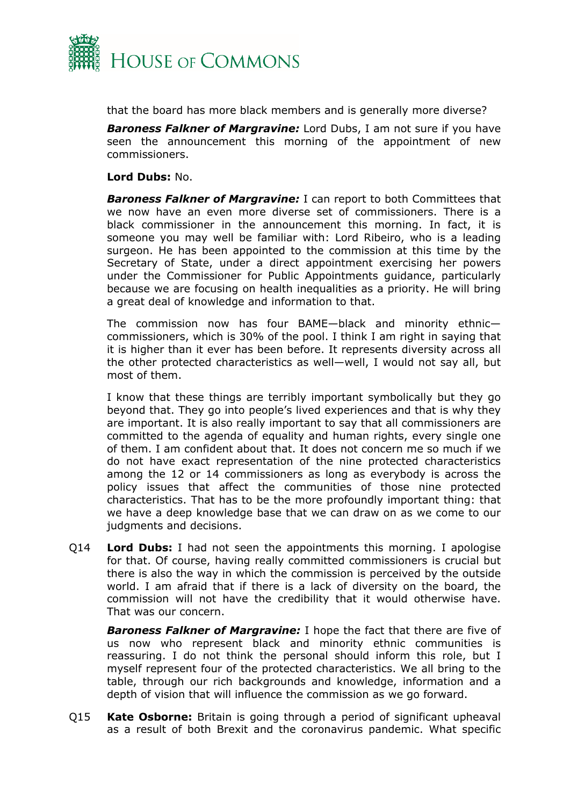

that the board has more black members and is generally more diverse?

*Baroness Falkner of Margravine:* Lord Dubs, I am not sure if you have seen the announcement this morning of the appointment of new commissioners.

#### **Lord Dubs:** No.

*Baroness Falkner of Margravine:* I can report to both Committees that we now have an even more diverse set of commissioners. There is a black commissioner in the announcement this morning. In fact, it is someone you may well be familiar with: Lord Ribeiro, who is a leading surgeon. He has been appointed to the commission at this time by the Secretary of State, under a direct appointment exercising her powers under the Commissioner for Public Appointments guidance, particularly because we are focusing on health inequalities as a priority. He will bring a great deal of knowledge and information to that.

The commission now has four BAME—black and minority ethnic commissioners, which is 30% of the pool. I think I am right in saying that it is higher than it ever has been before. It represents diversity across all the other protected characteristics as well—well, I would not say all, but most of them.

I know that these things are terribly important symbolically but they go beyond that. They go into people's lived experiences and that is why they are important. It is also really important to say that all commissioners are committed to the agenda of equality and human rights, every single one of them. I am confident about that. It does not concern me so much if we do not have exact representation of the nine protected characteristics among the 12 or 14 commissioners as long as everybody is across the policy issues that affect the communities of those nine protected characteristics. That has to be the more profoundly important thing: that we have a deep knowledge base that we can draw on as we come to our judgments and decisions.

Q14 **Lord Dubs:** I had not seen the appointments this morning. I apologise for that. Of course, having really committed commissioners is crucial but there is also the way in which the commission is perceived by the outside world. I am afraid that if there is a lack of diversity on the board, the commission will not have the credibility that it would otherwise have. That was our concern.

*Baroness Falkner of Margravine:* I hope the fact that there are five of us now who represent black and minority ethnic communities is reassuring. I do not think the personal should inform this role, but I myself represent four of the protected characteristics. We all bring to the table, through our rich backgrounds and knowledge, information and a depth of vision that will influence the commission as we go forward.

Q15 **Kate Osborne:** Britain is going through a period of significant upheaval as a result of both Brexit and the coronavirus pandemic. What specific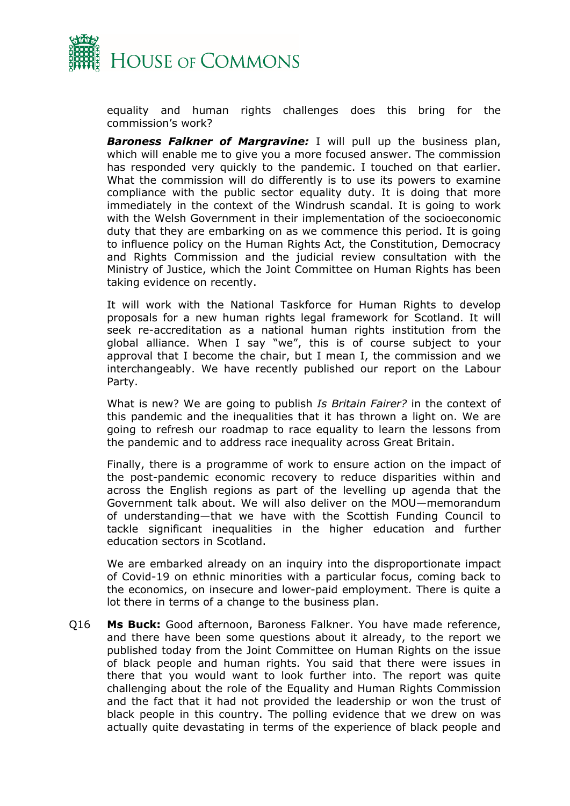

equality and human rights challenges does this bring for the commission's work?

*Baroness Falkner of Margravine:* I will pull up the business plan, which will enable me to give you a more focused answer. The commission has responded very quickly to the pandemic. I touched on that earlier. What the commission will do differently is to use its powers to examine compliance with the public sector equality duty. It is doing that more immediately in the context of the Windrush scandal. It is going to work with the Welsh Government in their implementation of the socioeconomic duty that they are embarking on as we commence this period. It is going to influence policy on the Human Rights Act, the Constitution, Democracy and Rights Commission and the judicial review consultation with the Ministry of Justice, which the Joint Committee on Human Rights has been taking evidence on recently.

It will work with the National Taskforce for Human Rights to develop proposals for a new human rights legal framework for Scotland. It will seek re-accreditation as a national human rights institution from the global alliance. When I say "we", this is of course subject to your approval that I become the chair, but I mean I, the commission and we interchangeably. We have recently published our report on the Labour Party.

What is new? We are going to publish *Is Britain Fairer?* in the context of this pandemic and the inequalities that it has thrown a light on. We are going to refresh our roadmap to race equality to learn the lessons from the pandemic and to address race inequality across Great Britain.

Finally, there is a programme of work to ensure action on the impact of the post-pandemic economic recovery to reduce disparities within and across the English regions as part of the levelling up agenda that the Government talk about. We will also deliver on the MOU—memorandum of understanding—that we have with the Scottish Funding Council to tackle significant inequalities in the higher education and further education sectors in Scotland.

We are embarked already on an inquiry into the disproportionate impact of Covid-19 on ethnic minorities with a particular focus, coming back to the economics, on insecure and lower-paid employment. There is quite a lot there in terms of a change to the business plan.

Q16 **Ms Buck:** Good afternoon, Baroness Falkner. You have made reference, and there have been some questions about it already, to the report we published today from the Joint Committee on Human Rights on the issue of black people and human rights. You said that there were issues in there that you would want to look further into. The report was quite challenging about the role of the Equality and Human Rights Commission and the fact that it had not provided the leadership or won the trust of black people in this country. The polling evidence that we drew on was actually quite devastating in terms of the experience of black people and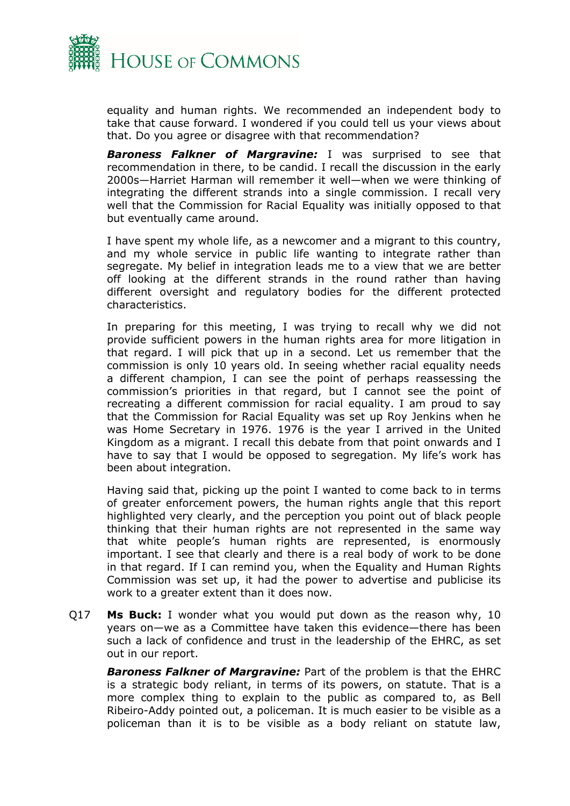

equality and human rights. We recommended an independent body to take that cause forward. I wondered if you could tell us your views about that. Do you agree or disagree with that recommendation?

*Baroness Falkner of Margravine:* I was surprised to see that recommendation in there, to be candid. I recall the discussion in the early 2000s—Harriet Harman will remember it well—when we were thinking of integrating the different strands into a single commission. I recall very well that the Commission for Racial Equality was initially opposed to that but eventually came around.

I have spent my whole life, as a newcomer and a migrant to this country, and my whole service in public life wanting to integrate rather than segregate. My belief in integration leads me to a view that we are better off looking at the different strands in the round rather than having different oversight and regulatory bodies for the different protected characteristics.

In preparing for this meeting, I was trying to recall why we did not provide sufficient powers in the human rights area for more litigation in that regard. I will pick that up in a second. Let us remember that the commission is only 10 years old. In seeing whether racial equality needs a different champion, I can see the point of perhaps reassessing the commission's priorities in that regard, but I cannot see the point of recreating a different commission for racial equality. I am proud to say that the Commission for Racial Equality was set up Roy Jenkins when he was Home Secretary in 1976. 1976 is the year I arrived in the United Kingdom as a migrant. I recall this debate from that point onwards and I have to say that I would be opposed to segregation. My life's work has been about integration.

Having said that, picking up the point I wanted to come back to in terms of greater enforcement powers, the human rights angle that this report highlighted very clearly, and the perception you point out of black people thinking that their human rights are not represented in the same way that white people's human rights are represented, is enormously important. I see that clearly and there is a real body of work to be done in that regard. If I can remind you, when the Equality and Human Rights Commission was set up, it had the power to advertise and publicise its work to a greater extent than it does now.

Q17 **Ms Buck:** I wonder what you would put down as the reason why, 10 years on—we as a Committee have taken this evidence—there has been such a lack of confidence and trust in the leadership of the EHRC, as set out in our report.

*Baroness Falkner of Margravine:* Part of the problem is that the EHRC is a strategic body reliant, in terms of its powers, on statute. That is a more complex thing to explain to the public as compared to, as Bell Ribeiro-Addy pointed out, a policeman. It is much easier to be visible as a policeman than it is to be visible as a body reliant on statute law,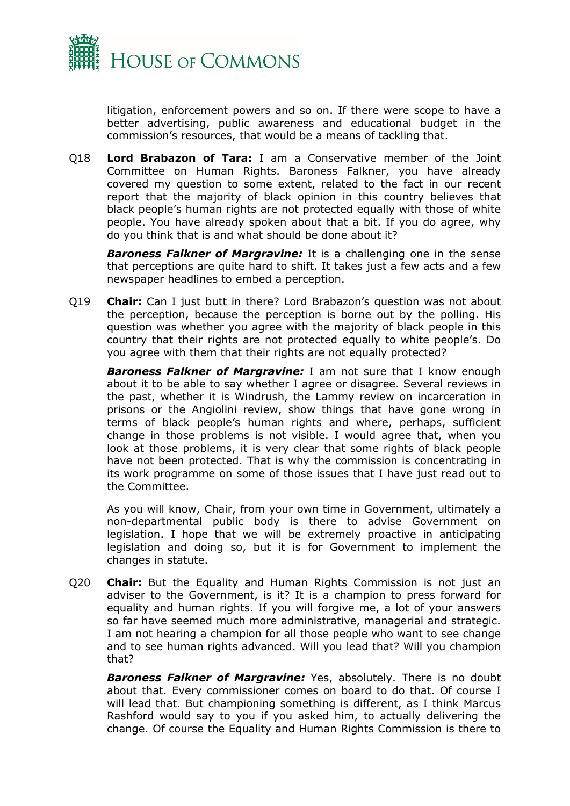

litigation, enforcement powers and so on. If there were scope to have a better advertising, public awareness and educational budget in the commission's resources, that would be a means of tackling that.

Q18 **Lord Brabazon of Tara:** I am a Conservative member of the Joint Committee on Human Rights. Baroness Falkner, you have already covered my question to some extent, related to the fact in our recent report that the majority of black opinion in this country believes that black people's human rights are not protected equally with those of white people. You have already spoken about that a bit. If you do agree, why do you think that is and what should be done about it?

*Baroness Falkner of Margravine:* It is a challenging one in the sense that perceptions are quite hard to shift. It takes just a few acts and a few newspaper headlines to embed a perception.

Q19 **Chair:** Can I just butt in there? Lord Brabazon's question was not about the perception, because the perception is borne out by the polling. His question was whether you agree with the majority of black people in this country that their rights are not protected equally to white people's. Do you agree with them that their rights are not equally protected?

*Baroness Falkner of Margravine:* I am not sure that I know enough about it to be able to say whether I agree or disagree. Several reviews in the past, whether it is Windrush, the Lammy review on incarceration in prisons or the Angiolini review, show things that have gone wrong in terms of black people's human rights and where, perhaps, sufficient change in those problems is not visible. I would agree that, when you look at those problems, it is very clear that some rights of black people have not been protected. That is why the commission is concentrating in its work programme on some of those issues that I have just read out to the Committee.

As you will know, Chair, from your own time in Government, ultimately a non-departmental public body is there to advise Government on legislation. I hope that we will be extremely proactive in anticipating legislation and doing so, but it is for Government to implement the changes in statute.

Q20 **Chair:** But the Equality and Human Rights Commission is not just an adviser to the Government, is it? It is a champion to press forward for equality and human rights. If you will forgive me, a lot of your answers so far have seemed much more administrative, managerial and strategic. I am not hearing a champion for all those people who want to see change and to see human rights advanced. Will you lead that? Will you champion that?

*Baroness Falkner of Margravine:* Yes, absolutely. There is no doubt about that. Every commissioner comes on board to do that. Of course I will lead that. But championing something is different, as I think Marcus Rashford would say to you if you asked him, to actually delivering the change. Of course the Equality and Human Rights Commission is there to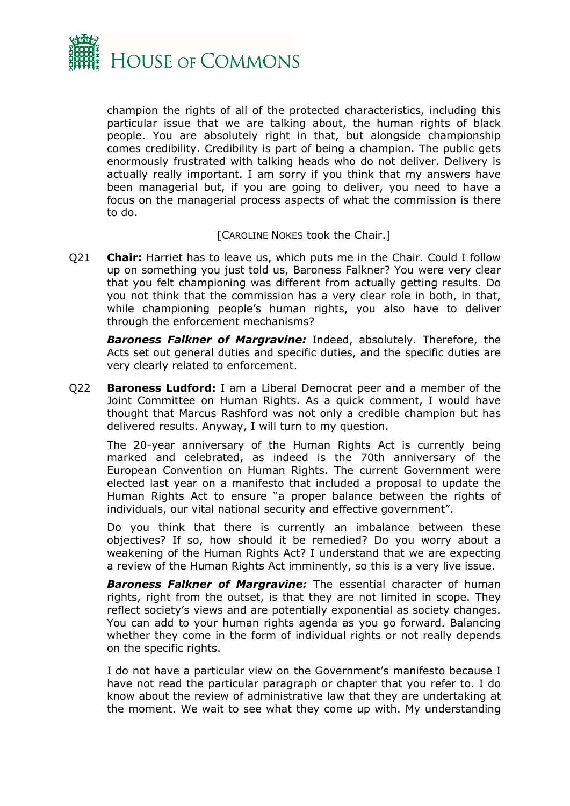

champion the rights of all of the protected characteristics, including this particular issue that we are talking about, the human rights of black people. You are absolutely right in that, but alongside championship comes credibility. Credibility is part of being a champion. The public gets enormously frustrated with talking heads who do not deliver. Delivery is actually really important. I am sorry if you think that my answers have been managerial but, if you are going to deliver, you need to have a focus on the managerial process aspects of what the commission is there to do.

#### [CAROLINE NOKES took the Chair.]

Q21 **Chair:** Harriet has to leave us, which puts me in the Chair. Could I follow up on something you just told us, Baroness Falkner? You were very clear that you felt championing was different from actually getting results. Do you not think that the commission has a very clear role in both, in that, while championing people's human rights, you also have to deliver through the enforcement mechanisms?

*Baroness Falkner of Margravine:* Indeed, absolutely. Therefore, the Acts set out general duties and specific duties, and the specific duties are very clearly related to enforcement.

Q22 **Baroness Ludford:** I am a Liberal Democrat peer and a member of the Joint Committee on Human Rights. As a quick comment, I would have thought that Marcus Rashford was not only a credible champion but has delivered results. Anyway, I will turn to my question.

The 20-year anniversary of the Human Rights Act is currently being marked and celebrated, as indeed is the 70th anniversary of the European Convention on Human Rights. The current Government were elected last year on a manifesto that included a proposal to update the Human Rights Act to ensure "a proper balance between the rights of individuals, our vital national security and effective government".

Do you think that there is currently an imbalance between these objectives? If so, how should it be remedied? Do you worry about a weakening of the Human Rights Act? I understand that we are expecting a review of the Human Rights Act imminently, so this is a very live issue.

*Baroness Falkner of Margravine:* The essential character of human rights, right from the outset, is that they are not limited in scope. They reflect society's views and are potentially exponential as society changes. You can add to your human rights agenda as you go forward. Balancing whether they come in the form of individual rights or not really depends on the specific rights.

I do not have a particular view on the Government's manifesto because I have not read the particular paragraph or chapter that you refer to. I do know about the review of administrative law that they are undertaking at the moment. We wait to see what they come up with. My understanding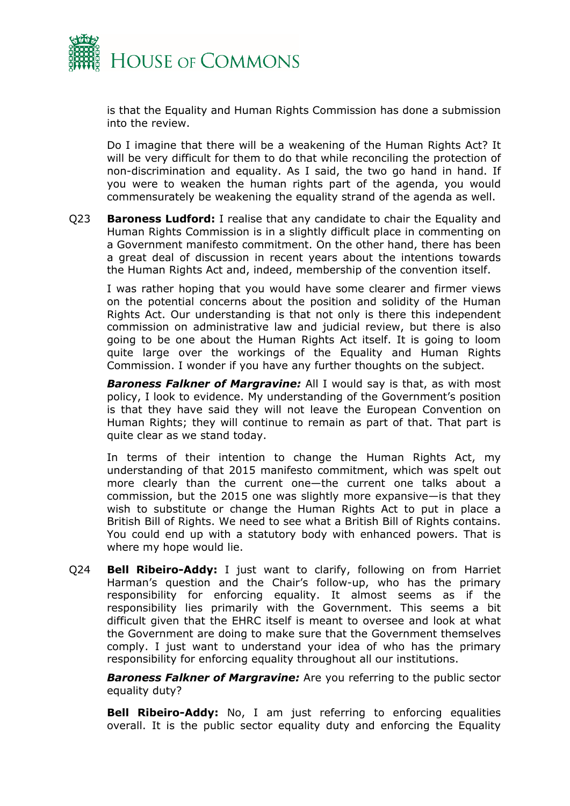

is that the Equality and Human Rights Commission has done a submission into the review.

Do I imagine that there will be a weakening of the Human Rights Act? It will be very difficult for them to do that while reconciling the protection of non-discrimination and equality. As I said, the two go hand in hand. If you were to weaken the human rights part of the agenda, you would commensurately be weakening the equality strand of the agenda as well.

Q23 **Baroness Ludford:** I realise that any candidate to chair the Equality and Human Rights Commission is in a slightly difficult place in commenting on a Government manifesto commitment. On the other hand, there has been a great deal of discussion in recent years about the intentions towards the Human Rights Act and, indeed, membership of the convention itself.

I was rather hoping that you would have some clearer and firmer views on the potential concerns about the position and solidity of the Human Rights Act. Our understanding is that not only is there this independent commission on administrative law and judicial review, but there is also going to be one about the Human Rights Act itself. It is going to loom quite large over the workings of the Equality and Human Rights Commission. I wonder if you have any further thoughts on the subject.

*Baroness Falkner of Margravine:* All I would say is that, as with most policy, I look to evidence. My understanding of the Government's position is that they have said they will not leave the European Convention on Human Rights; they will continue to remain as part of that. That part is quite clear as we stand today.

In terms of their intention to change the Human Rights Act, my understanding of that 2015 manifesto commitment, which was spelt out more clearly than the current one—the current one talks about a commission, but the 2015 one was slightly more expansive—is that they wish to substitute or change the Human Rights Act to put in place a British Bill of Rights. We need to see what a British Bill of Rights contains. You could end up with a statutory body with enhanced powers. That is where my hope would lie.

Q24 **Bell Ribeiro-Addy:** I just want to clarify, following on from Harriet Harman's question and the Chair's follow-up, who has the primary responsibility for enforcing equality. It almost seems as if the responsibility lies primarily with the Government. This seems a bit difficult given that the EHRC itself is meant to oversee and look at what the Government are doing to make sure that the Government themselves comply. I just want to understand your idea of who has the primary responsibility for enforcing equality throughout all our institutions.

*Baroness Falkner of Margravine:* Are you referring to the public sector equality duty?

**Bell Ribeiro-Addy:** No, I am just referring to enforcing equalities overall. It is the public sector equality duty and enforcing the Equality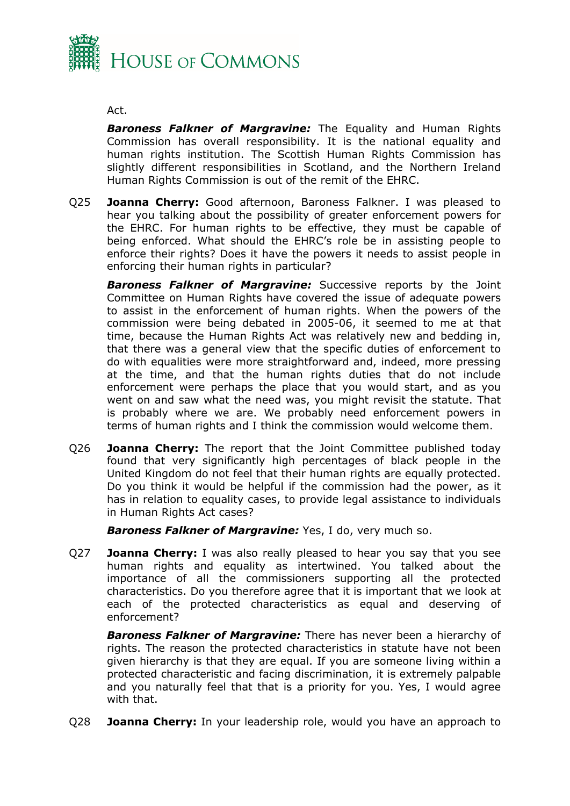

#### Act.

*Baroness Falkner of Margravine:* The Equality and Human Rights Commission has overall responsibility. It is the national equality and human rights institution. The Scottish Human Rights Commission has slightly different responsibilities in Scotland, and the Northern Ireland Human Rights Commission is out of the remit of the EHRC.

Q25 **Joanna Cherry:** Good afternoon, Baroness Falkner. I was pleased to hear you talking about the possibility of greater enforcement powers for the EHRC. For human rights to be effective, they must be capable of being enforced. What should the EHRC's role be in assisting people to enforce their rights? Does it have the powers it needs to assist people in enforcing their human rights in particular?

*Baroness Falkner of Margravine:* Successive reports by the Joint Committee on Human Rights have covered the issue of adequate powers to assist in the enforcement of human rights. When the powers of the commission were being debated in 2005-06, it seemed to me at that time, because the Human Rights Act was relatively new and bedding in, that there was a general view that the specific duties of enforcement to do with equalities were more straightforward and, indeed, more pressing at the time, and that the human rights duties that do not include enforcement were perhaps the place that you would start, and as you went on and saw what the need was, you might revisit the statute. That is probably where we are. We probably need enforcement powers in terms of human rights and I think the commission would welcome them.

Q26 **Joanna Cherry:** The report that the Joint Committee published today found that very significantly high percentages of black people in the United Kingdom do not feel that their human rights are equally protected. Do you think it would be helpful if the commission had the power, as it has in relation to equality cases, to provide legal assistance to individuals in Human Rights Act cases?

*Baroness Falkner of Margravine:* Yes, I do, very much so.

Q27 **Joanna Cherry:** I was also really pleased to hear you say that you see human rights and equality as intertwined. You talked about the importance of all the commissioners supporting all the protected characteristics. Do you therefore agree that it is important that we look at each of the protected characteristics as equal and deserving of enforcement?

*Baroness Falkner of Margravine:* There has never been a hierarchy of rights. The reason the protected characteristics in statute have not been given hierarchy is that they are equal. If you are someone living within a protected characteristic and facing discrimination, it is extremely palpable and you naturally feel that that is a priority for you. Yes, I would agree with that.

Q28 **Joanna Cherry:** In your leadership role, would you have an approach to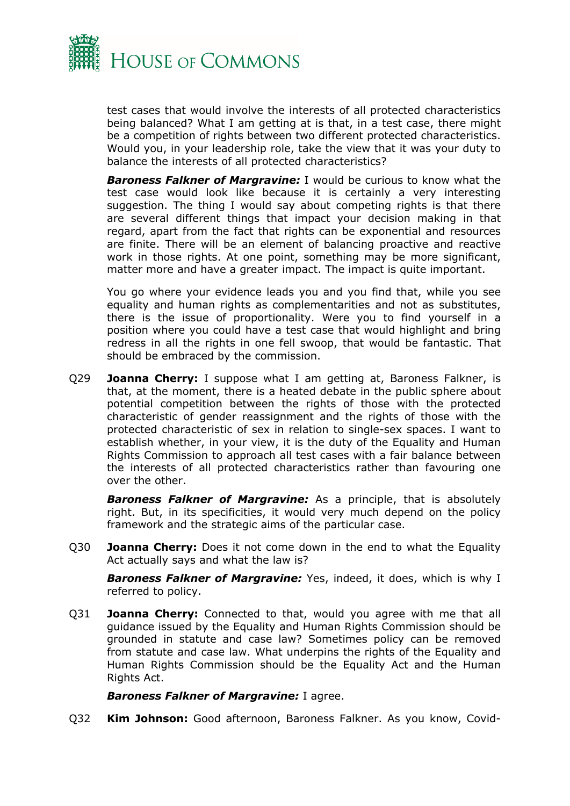

test cases that would involve the interests of all protected characteristics being balanced? What I am getting at is that, in a test case, there might be a competition of rights between two different protected characteristics. Would you, in your leadership role, take the view that it was your duty to balance the interests of all protected characteristics?

*Baroness Falkner of Margravine:* I would be curious to know what the test case would look like because it is certainly a very interesting suggestion. The thing I would say about competing rights is that there are several different things that impact your decision making in that regard, apart from the fact that rights can be exponential and resources are finite. There will be an element of balancing proactive and reactive work in those rights. At one point, something may be more significant, matter more and have a greater impact. The impact is quite important.

You go where your evidence leads you and you find that, while you see equality and human rights as complementarities and not as substitutes, there is the issue of proportionality. Were you to find yourself in a position where you could have a test case that would highlight and bring redress in all the rights in one fell swoop, that would be fantastic. That should be embraced by the commission.

Q29 **Joanna Cherry:** I suppose what I am getting at, Baroness Falkner, is that, at the moment, there is a heated debate in the public sphere about potential competition between the rights of those with the protected characteristic of gender reassignment and the rights of those with the protected characteristic of sex in relation to single-sex spaces. I want to establish whether, in your view, it is the duty of the Equality and Human Rights Commission to approach all test cases with a fair balance between the interests of all protected characteristics rather than favouring one over the other.

*Baroness Falkner of Margravine:* As a principle, that is absolutely right. But, in its specificities, it would very much depend on the policy framework and the strategic aims of the particular case.

Q30 **Joanna Cherry:** Does it not come down in the end to what the Equality Act actually says and what the law is?

*Baroness Falkner of Margravine:* Yes, indeed, it does, which is why I referred to policy.

Q31 **Joanna Cherry:** Connected to that, would you agree with me that all guidance issued by the Equality and Human Rights Commission should be grounded in statute and case law? Sometimes policy can be removed from statute and case law. What underpins the rights of the Equality and Human Rights Commission should be the Equality Act and the Human Rights Act.

#### *Baroness Falkner of Margravine:* I agree.

Q32 **Kim Johnson:** Good afternoon, Baroness Falkner. As you know, Covid-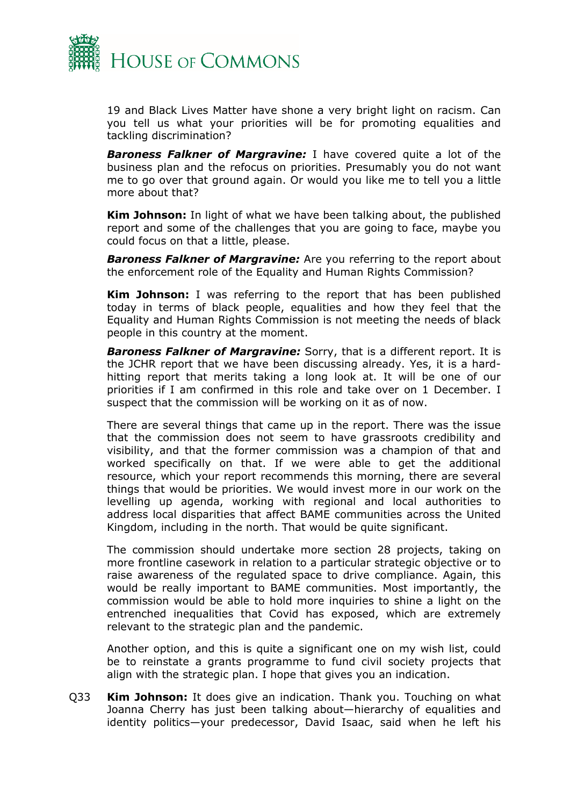

19 and Black Lives Matter have shone a very bright light on racism. Can you tell us what your priorities will be for promoting equalities and tackling discrimination?

*Baroness Falkner of Margravine:* I have covered quite a lot of the business plan and the refocus on priorities. Presumably you do not want me to go over that ground again. Or would you like me to tell you a little more about that?

**Kim Johnson:** In light of what we have been talking about, the published report and some of the challenges that you are going to face, maybe you could focus on that a little, please.

*Baroness Falkner of Margravine:* Are you referring to the report about the enforcement role of the Equality and Human Rights Commission?

**Kim Johnson:** I was referring to the report that has been published today in terms of black people, equalities and how they feel that the Equality and Human Rights Commission is not meeting the needs of black people in this country at the moment.

*Baroness Falkner of Margravine:* Sorry, that is a different report. It is the JCHR report that we have been discussing already. Yes, it is a hardhitting report that merits taking a long look at. It will be one of our priorities if I am confirmed in this role and take over on 1 December. I suspect that the commission will be working on it as of now.

There are several things that came up in the report. There was the issue that the commission does not seem to have grassroots credibility and visibility, and that the former commission was a champion of that and worked specifically on that. If we were able to get the additional resource, which your report recommends this morning, there are several things that would be priorities. We would invest more in our work on the levelling up agenda, working with regional and local authorities to address local disparities that affect BAME communities across the United Kingdom, including in the north. That would be quite significant.

The commission should undertake more section 28 projects, taking on more frontline casework in relation to a particular strategic objective or to raise awareness of the regulated space to drive compliance. Again, this would be really important to BAME communities. Most importantly, the commission would be able to hold more inquiries to shine a light on the entrenched inequalities that Covid has exposed, which are extremely relevant to the strategic plan and the pandemic.

Another option, and this is quite a significant one on my wish list, could be to reinstate a grants programme to fund civil society projects that align with the strategic plan. I hope that gives you an indication.

Q33 **Kim Johnson:** It does give an indication. Thank you. Touching on what Joanna Cherry has just been talking about—hierarchy of equalities and identity politics—your predecessor, David Isaac, said when he left his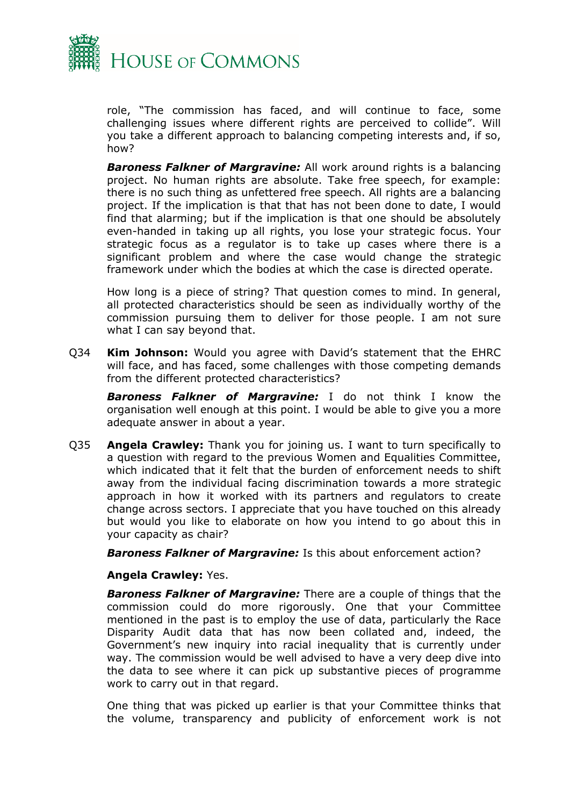

role, "The commission has faced, and will continue to face, some challenging issues where different rights are perceived to collide". Will you take a different approach to balancing competing interests and, if so, how?

*Baroness Falkner of Margravine:* All work around rights is a balancing project. No human rights are absolute. Take free speech, for example: there is no such thing as unfettered free speech. All rights are a balancing project. If the implication is that that has not been done to date, I would find that alarming; but if the implication is that one should be absolutely even-handed in taking up all rights, you lose your strategic focus. Your strategic focus as a regulator is to take up cases where there is a significant problem and where the case would change the strategic framework under which the bodies at which the case is directed operate.

How long is a piece of string? That question comes to mind. In general, all protected characteristics should be seen as individually worthy of the commission pursuing them to deliver for those people. I am not sure what I can say beyond that.

Q34 **Kim Johnson:** Would you agree with David's statement that the EHRC will face, and has faced, some challenges with those competing demands from the different protected characteristics?

*Baroness Falkner of Margravine:* I do not think I know the organisation well enough at this point. I would be able to give you a more adequate answer in about a year.

Q35 **Angela Crawley:** Thank you for joining us. I want to turn specifically to a question with regard to the previous Women and Equalities Committee, which indicated that it felt that the burden of enforcement needs to shift away from the individual facing discrimination towards a more strategic approach in how it worked with its partners and regulators to create change across sectors. I appreciate that you have touched on this already but would you like to elaborate on how you intend to go about this in your capacity as chair?

*Baroness Falkner of Margravine:* Is this about enforcement action?

#### **Angela Crawley:** Yes.

*Baroness Falkner of Margravine:* There are a couple of things that the commission could do more rigorously. One that your Committee mentioned in the past is to employ the use of data, particularly the Race Disparity Audit data that has now been collated and, indeed, the Government's new inquiry into racial inequality that is currently under way. The commission would be well advised to have a very deep dive into the data to see where it can pick up substantive pieces of programme work to carry out in that regard.

One thing that was picked up earlier is that your Committee thinks that the volume, transparency and publicity of enforcement work is not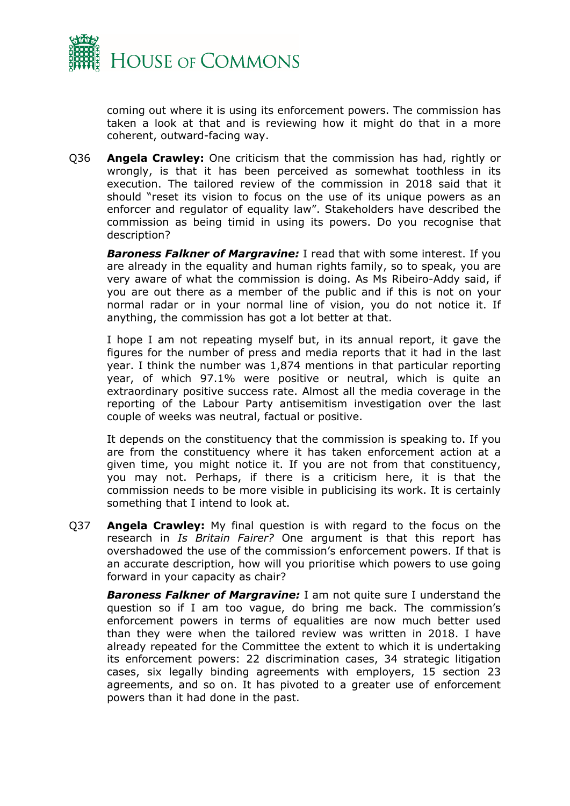

coming out where it is using its enforcement powers. The commission has taken a look at that and is reviewing how it might do that in a more coherent, outward-facing way.

Q36 **Angela Crawley:** One criticism that the commission has had, rightly or wrongly, is that it has been perceived as somewhat toothless in its execution. The tailored review of the commission in 2018 said that it should "reset its vision to focus on the use of its unique powers as an enforcer and regulator of equality law". Stakeholders have described the commission as being timid in using its powers. Do you recognise that description?

*Baroness Falkner of Margravine:* I read that with some interest. If you are already in the equality and human rights family, so to speak, you are very aware of what the commission is doing. As Ms Ribeiro-Addy said, if you are out there as a member of the public and if this is not on your normal radar or in your normal line of vision, you do not notice it. If anything, the commission has got a lot better at that.

I hope I am not repeating myself but, in its annual report, it gave the figures for the number of press and media reports that it had in the last year. I think the number was 1,874 mentions in that particular reporting year, of which 97.1% were positive or neutral, which is quite an extraordinary positive success rate. Almost all the media coverage in the reporting of the Labour Party antisemitism investigation over the last couple of weeks was neutral, factual or positive.

It depends on the constituency that the commission is speaking to. If you are from the constituency where it has taken enforcement action at a given time, you might notice it. If you are not from that constituency, you may not. Perhaps, if there is a criticism here, it is that the commission needs to be more visible in publicising its work. It is certainly something that I intend to look at.

Q37 **Angela Crawley:** My final question is with regard to the focus on the research in *Is Britain Fairer?* One argument is that this report has overshadowed the use of the commission's enforcement powers. If that is an accurate description, how will you prioritise which powers to use going forward in your capacity as chair?

*Baroness Falkner of Margravine:* I am not quite sure I understand the question so if I am too vague, do bring me back. The commission's enforcement powers in terms of equalities are now much better used than they were when the tailored review was written in 2018. I have already repeated for the Committee the extent to which it is undertaking its enforcement powers: 22 discrimination cases, 34 strategic litigation cases, six legally binding agreements with employers, 15 section 23 agreements, and so on. It has pivoted to a greater use of enforcement powers than it had done in the past.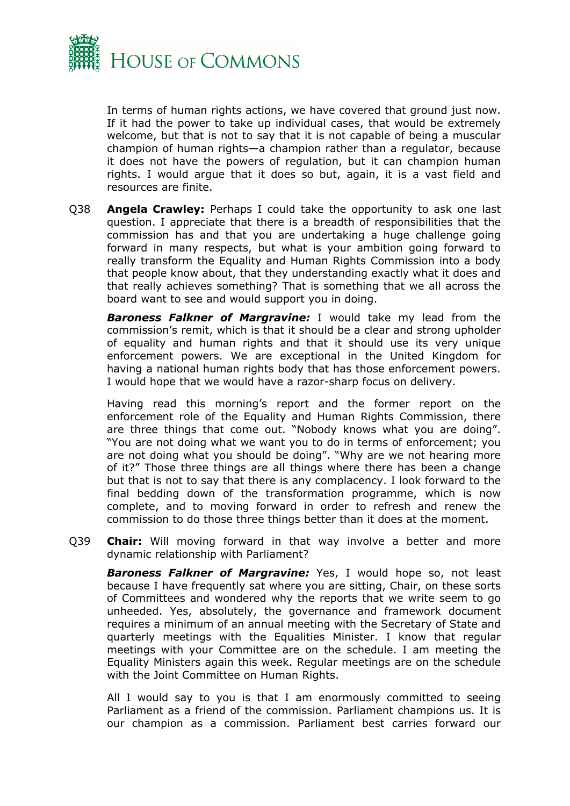

In terms of human rights actions, we have covered that ground just now. If it had the power to take up individual cases, that would be extremely welcome, but that is not to say that it is not capable of being a muscular champion of human rights—a champion rather than a regulator, because it does not have the powers of regulation, but it can champion human rights. I would argue that it does so but, again, it is a vast field and resources are finite.

Q38 **Angela Crawley:** Perhaps I could take the opportunity to ask one last question. I appreciate that there is a breadth of responsibilities that the commission has and that you are undertaking a huge challenge going forward in many respects, but what is your ambition going forward to really transform the Equality and Human Rights Commission into a body that people know about, that they understanding exactly what it does and that really achieves something? That is something that we all across the board want to see and would support you in doing.

*Baroness Falkner of Margravine:* I would take my lead from the commission's remit, which is that it should be a clear and strong upholder of equality and human rights and that it should use its very unique enforcement powers. We are exceptional in the United Kingdom for having a national human rights body that has those enforcement powers. I would hope that we would have a razor-sharp focus on delivery.

Having read this morning's report and the former report on the enforcement role of the Equality and Human Rights Commission, there are three things that come out. "Nobody knows what you are doing". "You are not doing what we want you to do in terms of enforcement; you are not doing what you should be doing". "Why are we not hearing more of it?" Those three things are all things where there has been a change but that is not to say that there is any complacency. I look forward to the final bedding down of the transformation programme, which is now complete, and to moving forward in order to refresh and renew the commission to do those three things better than it does at the moment.

Q39 **Chair:** Will moving forward in that way involve a better and more dynamic relationship with Parliament?

*Baroness Falkner of Margravine:* Yes, I would hope so, not least because I have frequently sat where you are sitting, Chair, on these sorts of Committees and wondered why the reports that we write seem to go unheeded. Yes, absolutely, the governance and framework document requires a minimum of an annual meeting with the Secretary of State and quarterly meetings with the Equalities Minister. I know that regular meetings with your Committee are on the schedule. I am meeting the Equality Ministers again this week. Regular meetings are on the schedule with the Joint Committee on Human Rights.

All I would say to you is that I am enormously committed to seeing Parliament as a friend of the commission. Parliament champions us. It is our champion as a commission. Parliament best carries forward our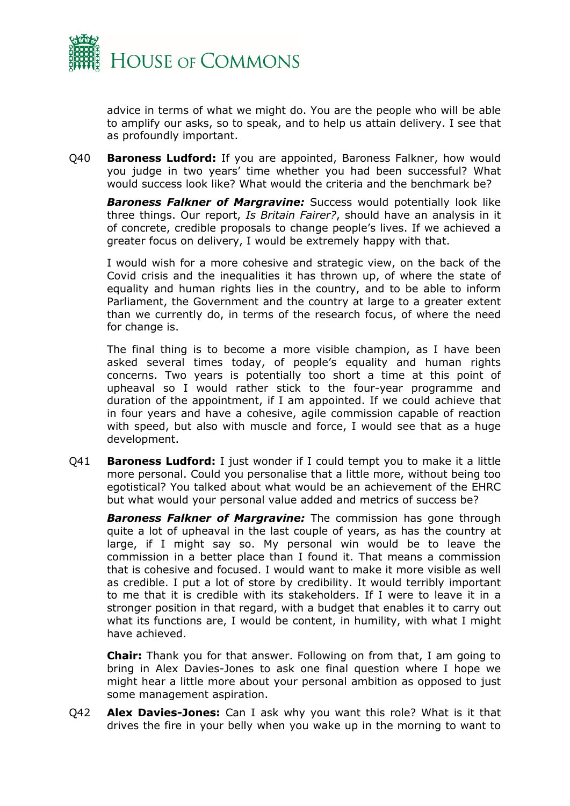

advice in terms of what we might do. You are the people who will be able to amplify our asks, so to speak, and to help us attain delivery. I see that as profoundly important.

Q40 **Baroness Ludford:** If you are appointed, Baroness Falkner, how would you judge in two years' time whether you had been successful? What would success look like? What would the criteria and the benchmark be?

*Baroness Falkner of Margravine:* Success would potentially look like three things. Our report, *Is Britain Fairer?*, should have an analysis in it of concrete, credible proposals to change people's lives. If we achieved a greater focus on delivery, I would be extremely happy with that.

I would wish for a more cohesive and strategic view, on the back of the Covid crisis and the inequalities it has thrown up, of where the state of equality and human rights lies in the country, and to be able to inform Parliament, the Government and the country at large to a greater extent than we currently do, in terms of the research focus, of where the need for change is.

The final thing is to become a more visible champion, as I have been asked several times today, of people's equality and human rights concerns. Two years is potentially too short a time at this point of upheaval so I would rather stick to the four-year programme and duration of the appointment, if I am appointed. If we could achieve that in four years and have a cohesive, agile commission capable of reaction with speed, but also with muscle and force, I would see that as a huge development.

Q41 **Baroness Ludford:** I just wonder if I could tempt you to make it a little more personal. Could you personalise that a little more, without being too egotistical? You talked about what would be an achievement of the EHRC but what would your personal value added and metrics of success be?

*Baroness Falkner of Margravine:* The commission has gone through quite a lot of upheaval in the last couple of years, as has the country at large, if I might say so. My personal win would be to leave the commission in a better place than I found it. That means a commission that is cohesive and focused. I would want to make it more visible as well as credible. I put a lot of store by credibility. It would terribly important to me that it is credible with its stakeholders. If I were to leave it in a stronger position in that regard, with a budget that enables it to carry out what its functions are, I would be content, in humility, with what I might have achieved.

**Chair:** Thank you for that answer. Following on from that, I am going to bring in Alex Davies-Jones to ask one final question where I hope we might hear a little more about your personal ambition as opposed to just some management aspiration.

Q42 **Alex Davies-Jones:** Can I ask why you want this role? What is it that drives the fire in your belly when you wake up in the morning to want to